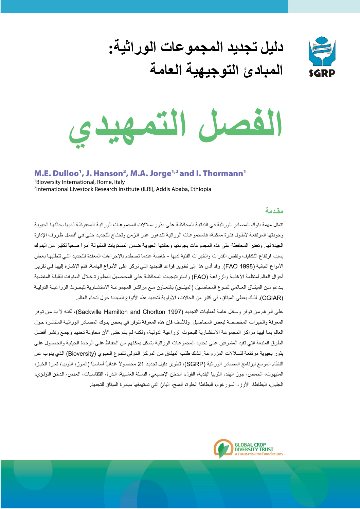

دليل تجديد المجموعات الوراثية: المبادئ التوجيهية العامة



M.E. Dulloo<sup>1</sup>, J. Hanson<sup>2</sup>, M.A. Jorge<sup>1,2</sup> and I. Thormann<sup>1</sup> <sup>1</sup>Bioversity International, Rome, Italy <sup>2</sup>International Livestock Research institute (ILRI), Addis Ababa, Ethiopia

### مقدمة

تتمثل مهمة بنوك المصادر الوراثية في النباتية المحافظة على بذور سلالات المجموعات الوراثية المحفوظة لديها بحالتها الحيوية وجودتها المرتفعة لأطول فترة ممكنة، فالمجموعات الوراثية تتدهور عبر الزمن وتحتاج للتجديد حتى في أفضل ظروف الإدارة الجيدة لها٬ وتعتبر المحافظة على هذه المجموعات بجودتها وحالتها الحيوية ضمن المستويات المقبولة أمر أ صعباً لكثير٬ من البنوك بسبب ار تفاع التكاليف ونقص القدر ات والخبر ات الفنية لديها - خاصة عندما تصطدم بالإجر اءات المعقدة للتجديد التي تتطلبها بعض الأنواع النباتية (FAO 1998). وقد أدى هذا إلى تطوير قواعد التجديد التي تركز على الأنواع الهامة، فتم الإشارة إليها في تقرير أحوال العالم لمنظمة الأغذية والزراعة (FAO) واستر اتيجيات المحافظة على المحاصيل المطورة خلال السنوات القليلة الماضية بدعم مـن الميثـاق العـالمي لتنـوع المحاصـيل (الميثـاق) بالتعـاون مـع مراكـز المجموعـة الاستشـارية للبحـوث الزراعيـة الدوليـة (CGIAR). لذلك يعطي الميثاق، في كثير من الحالات، الأولوية لتجديد هذه الأنواع المهددة حول أنحاء العالم.

علي الرغم من توفر وسائل عامة لعمليات التجديد (Sackville Hamilton and Chorlton 1997)، لكنه لا بد من توفر المعرفة والخبرات المخصصة لبعض المحاصيل. وللأسف فإن هذه المعرفة تتوفر في بعض بنوك المصـادر الوراثية المنتشرة حول العالم بما فيها مراكز المجموعة الاستثبارية للبحوث الزراعية الدولية، ولكنه لم يتم حتى الآن محاولة تحديد وجمع ونشر أفضل الطرق المتبعة التي تفيد المشرفين على تجديد المجموعات الوراثية بشكل بمكنهم من الحفاظ على الوحدة الجينية والحصول على بذور بحبوية مرتفعة للسلالات المزروعة. لذلك طلب الميثاق من المركز الدولي للتنوع الحيوي (Bioversity) الذي ينوب عن النظام الموسع لبرنامج المصادر الوراثية (SGRP)، تطوير دليل تجديد 21 محصولاً غذائياً أساسياً (الموز، اللوبيا، ثمرة الخبز، المنيهوت، الحمص، جوز الهند، اللوبيا البلدية، الفول، الدخن الإصبعي، البسلة العشبية، الذرة، القلقاسيات، العدس، الدخن اللؤلؤي، الجلبان، البطاطا، الأرز، السور غوم، البطاطا الحلوة، القمح، اليام) التي تستهدفها مبادرة الميثاق للتجديد.

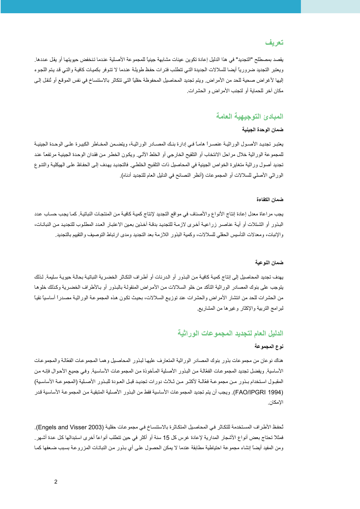# تعريف

يقصد بمصطلح "التجديد" في هذا الدليل إعادة تكوين عينات مشابهة جينياً للمجمو عة الأصلية عندما تنخفض حبوبتها أو يقل عددها ويعتبر التجديد ضر ور ياً أيضا للسلالات الجديدة التي تتطلب فتر ات حفظ طويلة عندما لا تتوفر بكميات كافية والتي قد يتم اللجو ء إليها لأغراض صحية للحد من الأمراض. ويتم تجديد المحاصيل المحفوظة حقليا التي تتكاثر بالاستنساخ في نفس الموقع أو ثنقل إلى مكان آخر للحماية أو لتحنب الأمر اض و الحشر ات

# المبادئ التوجيهية العامة

## ضمان الوحدة الجينية

يعتبر تجديد الأصبول الوراثيـة عنصـراً هامـاً فـي إدارة بنـك المصــادر الوراثيـة، ويتضـمن المخـاطر الكبيـرة علـي الوحـدة الجينيـة للمجموعة الوراثية خلال مراحل الانتخاب أو التلقيح الخارجي أو الخلط الألبي. ويكون الخطر من فقدان الوحدة الجينية مرتفعا عند تجديد أصول وراثية متغايرة الخواص الجينية في المحاصيل ذات التلقيح الخلطي. فالتجديد يهدف إلى الحفاظ على الهيكلية والتنوع الور اثى الأصلي للسلالات أو المجموعات (أنظر النصائح في الدليل العام للتجديد أدناه).

#### ضمان الكفاءة

يجب مراعاة معدل إعادة إنتاج الأنواع والأصناف في مواقع التجديد لإنتاج كمية كافية من المنتجات النباتية. كما يجب حساب عدد البذور أو الشتلات أو أيـة عناصـر زراعيـة أخرى لازمـة للتجديد بدقـة آخذين بعين الاعتبـار العدد المطلوب للتجديد من النباتـات، والإنبات، ومعدلات التأسيس الحقلي للسلالات، وكمية البذور اللازمة بعد التجديد ومدى ارتباط التوصيف والتقييم بالتجديد.

#### ضمان النوعية

بهدف تجديد المحاصيل إلى إنتاج كمية كافية من البذو ر أو الدر نات أو أطر اف التكاثر الخضر ية النباتية بحالة حيوية سليمة ٍ لذلك يتوجب على بنوك المصادر الوراثية التأكد من خلو السلالات من الأمراض المنقولة بالبذور أو بـالأطراف الخضرية وكذلك خلوها من الحشرات للحد من انتشار الأمراض والحشرات عند توزيع السلالات، بحيث تكون هذه المجموعة الوراثية مصدراً أساسياً نقياً لبر امج التربية والإكثار وغير ها من المشاريع.

## الدليل العام لتجديد المجموعات الوراثية

#### نوع المجموعة

هناك نوعان من مجموعات بذور بنوك المصادر الوراثية المتعارف عليها لبذور المحاصيل وهما المجموعات الفعالة والمجموعات الأساسية. ويفضل تجديد المجمو عات الفعّالة من البذور. الأصلية المأخوذة من المجمو عات الأساسية. وفي جميع الأحوال فإنـه من المقبول استخدام بذور من مجموعة فعّالـة لأكثـر من ثـلاث دورات تجديد قبل العـودة للبـذور الأصـلية (المجموعـة الأساسـية) (FAO/IPGRI 1994). ويجب أن يتم تجديد المجموعات الأساسية فقط من البذور الأصلية المتبقية من المجموعة الأساسية قدر الأمكان

ثحفظ الأطر اف المستخدمة للتكاثر في المحاصيل المتكاثر ة بالاستنساخ في مجمو عات حقلية (Engels and Visser 2003). فمثلاً تحتاج بعض أنواع الأشجار المدارية لإعادة غرس كل 15 سنة أو أكثر في حين تتطلب أنواعاً أخرى استبدالها كل عدة أشهر ومن المفيد أيضاً إنشاء مجموعة احتياطية مطابقة عندما لا يمكن الحصول على أي بذور من النباتات المزروعة بسبب ضعفها كما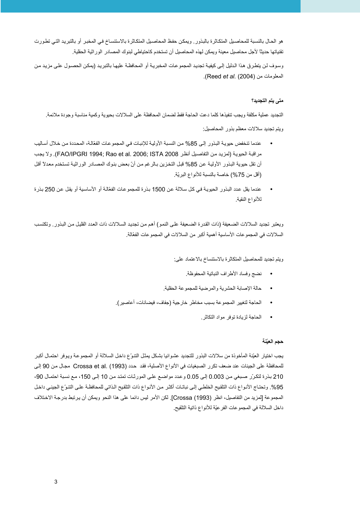هو الحال بالنسبة للمحاصيل المتكاثرة بالبذور . ويمكن حفظ المحاصيل المتكاثرة بالاستنساخ في المخبر أو بالتبريد التي تطورت تقنياتها حديثًا لأجل محاصيل معينة ويمكن لهذه المحاصيل أن تستخدم كاحتياطي لبنوك المصادر الور اثية الحقلية.

وسوف لن يتطرق هذا الدليل إلى كيفية تجديد المجموعات المخبرية أو المحافظة عليها بالتبريد (يمكن الحصول على مزيد من المعلومات من (Reed et al. (2004).

## متى يتم التجديد؟

التجديد عملية مكلفة ويجب تنفيذها كلما دعت الحاجة فقط لضمان المحافظة على السلالات بحيوية وكمية مناسبة وجودة ملائمة ويتم تجديد سلالات معظم بذور المحاصيل:

- عندما تنخفض حبوبـة البذو ر إلـي 85% من النسبة الأوليـة للانبـات فـي المجمو عـات الفعّالـة، المحددة من خـلال أسـاليب مراقبة الحيوية (لمزيد من التفاصيل أنظر 1008 FAO/IPGRI 1994; Rao et al. 2006; ISTA 2008). ولا يجب أن تقل حيوية البذور الأولية عن 85% قبل التخزين بـالر غم من أنّ بعض بنوك المصـادر الور اثبة تستخدم معدلاً أقل (أقل من 75%) خاصة بالنسبة للأنواع البريّة.
- عندما بقل عدد البذور الحبوبية في كل سلالة عن 1500 بذر ة للمجموعات الفعّالة أو الأساسية أو يقل عن 250 بذر ة للأنواع النقية

ويعتبر تجديد السلالات الضعيفة (ذات القدر ة الضعيفة على النمو ) أهم من تجديد السلالات ذات العدد القليل من البذور . وتكتسب السلالات في المجموعات الأساسية أهمية أكبر من السلالات في المجموعات الفعّالة.

ويتم تجديد للمحاصيل المتكاثرة بالاستنساخ بالاعتماد على:

- نضج وفساد الأطراف النباتية المحفوظة
- حالة الإصابة الحشرية والمرضية للمجموعة الحقلية.
- الحاجة لتغيير المجموعة بسبب مخاطر خارجية (جفاف، فيضانات، أعاصير).
	- الحاجة لزيادة توفر مواد التكاثر .

### حجم العيّنة

يجب اختيار العيّنة المأخوذة من سلالات البذور للتجديد عشوائيا بشكل يمثل التنوّع داخل السلالة أو المجموعة ويوفر احتمال أكبر للمحافظة على الجينات عند ضعف تكرر الصبغيات في الأنواع الأصلية، فقد حدد Crossa et al. (1993) مجال من 90 إلى 210 بذرة لتكرّر صبغي من 0.003 إلى 0.05 وعدد مواضع على المورثات تمتد من 10 إلى 150، مع نسبة احتمال 90-95%. وتحتاج الأنواع ذات التلقيح الخلطي إلى نباتـات أكثـر من الأنـواع ذات التلقيح الذاتي للمحافظـة علـى التنـوّع الجينـي داخل المجموعة [لمزيد من التفاصيل، انظر (Crossa (1993)]. لكن الأمر ليس دائما على هذا النحو ويمكن أن يرتبط بدرجة الاختلاف داخل السلالة في المجموعات الفرعيّة للأنواع ذاتية التلقيح.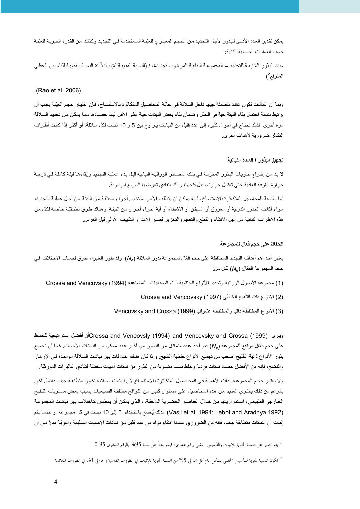يمكن تقدير العدد الأدنى للبذور لأجل التجديد من الحجم المعياري للعيّنة المستخدمة في التجديد وكذلك من القدرة الحيوية للعيّنة حسب العملبات الحسابية التالية:

عدد البذور اللازمة للتجديد = المجموعة النباتية المر غوب تجديدها / (النسبة المئويـة للإنبـات' × النسبة المئويـة للتأسيس الحقلـي المتوقع<sup>2</sup>)

(Rao et al. 2006).

وبما أن النباتات تكون عادة منطابقة جينيا داخل السلالة في حالـة المحاصيل المنكاثر ة بالاستنساخ، فإن اختيار حجم العيّنـة يجب أن يرتبط بنسبة احتمال بقاء النبتة حية في الحقل وضمان بقاء بعض النبتات حيـة علـى الأقل ليتم حصـادها ممـا يمكّن من تجديد السلالة مرة أخرى. لذلك نحتاج في أحوال كثيرة إلى عدد قليل من النباتات يتراوح بين 5 و 10 نبتات لكل سلالة، أو أكثر إذا كانت أطراف التكاثر ضرورية لأهداف أخرى.

#### تجهيز البذور / المادة النباتية

لا بد من إخراج حاويات البذور المخزنـة في بنك المصـادر الوراثيـة النباتيـة قبل بـدء عمليـة التجديد وإبقاءهـا ليلـة كاملـة فـي درجـة حرارة الغرفة العادية حتى تعتدل حرارتها قبل فتحها، وذلك لتفادي تعرضها السريع للرطوبة.

أما بالنسبة للمحاصيل المتكاثرة بالاستنساخ، فإنـه يمكن أن يتطلب الأمـر استخدام أجـزاء مختلفة من النبتـة من أجل عمليـة التجديد، سواء أكانت الجذور الدرنية أو العروق أو السيقان أو الأشطاء أو أية أجزاء أخرى من النبتة. وهناك طرق تطبيقيّة خاصـة لكل من هذه الأطراف النباتيّة من أجل الانتقاء والقطع والنعقيم والتخزين قصير الأمد أو النكييف الأولى قبل الغرس.

#### الحفاظ على حجم فعال للمجموعة

يعتبر أحد أهم أهداف التجديد المحافظة على حجم فعّال لمجموعة بذور السلالة (ص)). وقد طور الخبراء طرق لحساب الاختلاف في حجم المجموعة الفعّال (N<sub>e</sub>) لكل من:

(1) مجموعة الأصول الوراثية وتجديد الأنواع الخنثوية ذات الصبغيات المضاعفة (1994) Crossa and Vencovsky

(2) الأنواع ذات التلقيح الخلطي Crossa and Vencovsky (1997)

(3) الأنواع المختلطة ذاتيا والمختلطة عشوائيا (1999) Vencovsky and Crossa

وير ي (Crossa and Vencovslv (1994) and Vencovsky and Crossa (1999)أن أفضل إستر اتبجية للحفاظ على حجم فعّل مرتفع للمجموعة (N<sub>e</sub>) هو أخذ عدد متماثل من البذور من أكبر عدد ممكن من النباتات الأمهات. كما أن تجميع بنور الأنواع ذاتية التلقيح أصعب من تجميع الأنواع خلطية التلقيح. وإذا كان هناك اختلافات بين نباتات السلالة الواحدة في الإز هار والنضج، فإنه من الأفضل حصاد نباتات فردية وخلط نسب متساوية من البذور من نباتات أمهات مختلفة لتفادى التأثيرات المورثيّة.

و لا يعتبر حجم المجمو عـة بـذات الأهميـة فـي المحاصـيل المتكـاثر ة بالاستنسـاخ لأن نباتـات السـلالة تكـون متطابقة جينيـا دائمـًا. لكـن بالرغم من ذلك يحتوي العديد من هذه المحاصيل على مستوى كبير من اللواقح مختلفة الصبغيات بسبب بعض مستويات التلقيح الخار جي الطبيعي و استمر ار يتها من خلال العناصر الخضر بة اللاحقة، و الذي يمكن أن ينعكس كـاختلاف بين نباتـات المجمو عـة (Vasil et al. 1994; Lebot and Aradhya 1992). لذلك يُنصح باستخدام 5 إلى 10 نبتات في كل مجموعة. وعندما يتم إثبات أن النباتات متطابقة جبنيا، فإنه من الضر و ر ي عندها انتقاء مو اد من عدد قليل من نباتات الأمهات السليمة و القو يّة بدلاً من أن

<sup>1</sup> يتم التعبير عن النسبة المثوية للإنبات والتأسيس الحقلي برقم عشري، فيعبر مثلاً عن نسبة 95% بالرقم العشري 0.95

<sup>&</sup>lt;sup>2</sup> تكون النسبة المئوية للتأسيس الحقلي بشكل عام أقل بحوالي 5% من النسبة المئوية للإنبات في الظروف القاسية وحوالي 1% في الظروف الملائمة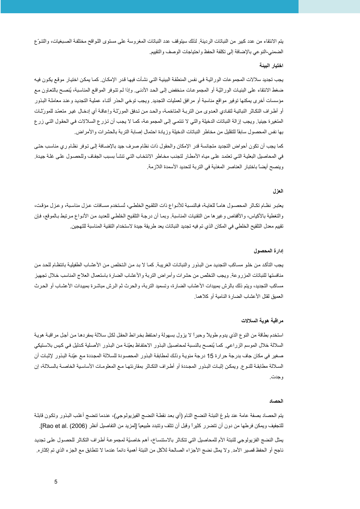يتم الانتقاء من عدد كبير من النباتات الرديئة. لذلك سيتوقف عدد النباتات المغروسة على مستوى اللواقح مختلفة الصبغيات، والتنوّع الضمني-النوعي بالإضافة إلى تكلفة الحفظ واحتياجات الوصف والتقييم.

#### اختيار البينة

يجب تجديد سلالات المجموعات الوراثية في نفس المنطقة البيئية التي نشأت فيها قدر الإمكان. كما يمكن اختيار موقع يكون فيه ضغط الانتقاء على البنيات الوراثيّة أو المجموعات منخفض إلى الحد الأدنـي. وإذا لم تتوفر المواقع المناسبة، يُنصح بالتعاون مع مؤسسات أخرى يمكنها توفير مواقع مناسبة أو مرافق لعمليات التجديد. ويجب توخي الحذر أثناء عملية التجديد وعند معاملة البذور أو أطراف التكاثر النباتية لتفادي العدوي من التربـة المتاخمـة، والحد من تدفق المورّثـة وإعاقـة أي إدخـال غير متعمّد للمورّثـات المنغيرة جينيا. ويجب إزالة النباتات الدخيلة والتي لا تنتمي إلى المجموعة، كما لا يجب أن تزرع السلالات في الحقول التي زرع بها نفس المحصول سابقاً للتقليل من مخاطر النباتات الدخيلة وزيادة احتمال إصابة التربة بالحشرات والأمراض.

كما يجب أن تكون أحواض التجديد متجانسة قدر الإمكان والحقول ذات نظام صرف جيد بالإضـافة إلـى توفر نظـام ر ي مناسب حتـى في المحاصيل البعلية التي تعتمد على مياه الأمطار لتجنب مخاطر الانتخاب التي تنشأ بسبب الجفاف وللحصول على غلة جيدة وينصح أيضاً باختبار العناصر المغذية في التربة لتحديد الأسمدة اللازمة.

#### العز ل

يعتبر نظام تكاثر المحصـول هامـاً للغايـة، فبالنسـبة للأنـواع ذات التلقيح الخلطـي، تُستخدم مسـافات عـزل مذاسـبة، وعـزل مؤقت، والتغطية بالأكياس، والأقفاص وغيرها من التقنيات المناسبة. وبمـا أن درجـة التلقيح الخلطـي للعديد من الأنـواع مرتبط بـالموقع، فـإن تقييم معدل التلقيح الخلطي في المكان الذي تم فيه تجديد النباتات يعد طريقة جيدة لاستخدام التقنية المناسبة للتهجين.

#### إدار ة المحصول

يجب التأكد من خلو مساكب التجديد من البذور والنباتات الغريبة. كما لا بد من التخلص من الأعشاب الطفيلية بانتظام للحد من منافستها للنباتات المزروعة ويجب التخلص من حشرات وأمراض التربة والأعشاب الضارة باستعمال العلاج المناسب خلال تجهيز مساكب التجديد، ويتم ذلك بالرش بمبيدات الأعشاب الضارة، وتسميد التربة، والحرث ثم الرش مباشرة بمبيدات الأعشاب أو الحرث العمبق لقتل الأعشاب الضبار ة النامبة أو كلاهما.

#### مراقبة هوية السلالات

استخدم بطاقة من النوع الذي يدوم طويلاً وحبراً لا يزول بسهولة واحتفظ بخرائط الحقل لكل سلالة بمفردها من أجل مراقبة هوية السلالة خلال الموسم الزراعي. كما يُنصح بالنسبة لمحاصيل البذور الاحتفاظ بعيّنة من البذور الأصلية كدليل في كيس بلاستيكي صغير في مكان جاف بدر جة حر ار ة 15 در جة مئو يـة و ذلك لمطابقة البذو ر المحصـو دة للسلالة المجددة مـع عيّنة البذو ر لإثبات أن السلالة مطابقة للنوع. ويمكن إثبات البذور المجددة أو أطراف التكاثر بمقارنتها مع المعلومات الأساسية الخاصىة بالسلالة، إن و جدت ِ

#### الحصاد

يتم الحصـاد بصـفة عامة عند بلوغ النبتـة النضـج التـام (أي بـعد نقطـة النضـج الفيزيولـوـجي)، عندما تنضـج أغلب البذور وتكون قابلـة للتجفيف ويمكن فرطها من دون أن تتضرر كثيراً وقبل أن تتلف وتتبدد طبيعياً [لمزيد من التفاصيل أنظر (2006) .[Rao et al يمثل النضج الفزيولوجي للنبتة الأم للمحاصيل التي تتكاثر بالاستنساخ، أهم خاصيّة لمجموعة أطراف التكاثر للحصول على تجديد ناجح أو الحفظ قصير الأمد. ولا يمثل نضج الأجزاء الصالحة للأكل من النبتة أهمية دائماً عندما لا تتطابق مع الجزء الذي تم إكثاره.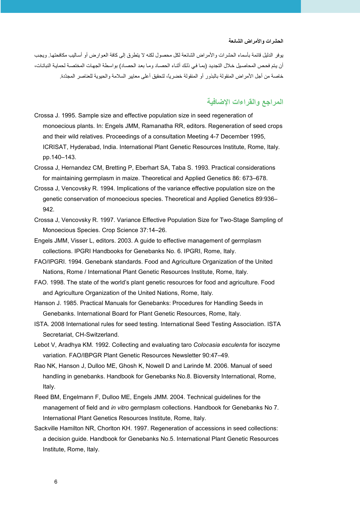#### الحشرات والأمراض الشائعة

يوفر الدليل قائمة بأسماء الحشرات والأمراض الشائعة لكل محصول لكنه لا يتطرق إلى كافة العوارض أو أساليب مكافحتها. ويجب أن يتم فحص المحاصيل خلال التجديد (بما في ذلك أثناء الحصـاد ومـا بعد الحصـاد) بواسطة الجهات المختصـة لحمايـة النباتات، خاصة من أجل الأمراض المنقولة بالبذور أو المنقولة خضرياً، لتحقيق أعلى معايير السلامة والحيوية للعناصر المجدّدة.

# المراجع والقراءات الإضافية

- Crossa J. 1995. Sample size and effective population size in seed regeneration of monoecious plants. In: Engels JMM, Ramanatha RR, editors. Regeneration of seed crops and their wild relatives. Proceedings of a consultation Meeting 4-7 December 1995, ICRISAT, Hyderabad, India. International Plant Genetic Resources Institute, Rome, Italy. pp.140-143.
- Crossa J, Hernandez CM, Bretting P, Eberhart SA, Taba S. 1993. Practical considerations for maintaining germplasm in maize. Theoretical and Applied Genetics 86: 673–678.
- Crossa J, Vencovsky R. 1994. Implications of the variance effective population size on the genetic conservation of monoecious species. Theoretical and Applied Genetics 89:936-942.
- Crossa J, Vencovsky R. 1997. Variance Effective Population Size for Two-Stage Sampling of Monoecious Species. Crop Science 37:14-26.
- Engels JMM, Visser L, editors. 2003. A guide to effective management of germplasm collections. IPGRI Handbooks for Genebanks No. 6. IPGRI, Rome, Italy.
- FAO/IPGRI. 1994. Genebank standards. Food and Agriculture Organization of the United Nations, Rome / International Plant Genetic Resources Institute, Rome, Italy.
- FAO. 1998. The state of the world's plant genetic resources for food and agriculture. Food and Agriculture Organization of the United Nations, Rome, Italy.
- Hanson J. 1985. Practical Manuals for Genebanks: Procedures for Handling Seeds in Genebanks. International Board for Plant Genetic Resources, Rome, Italy.
- ISTA. 2008 International rules for seed testing. International Seed Testing Association. ISTA Secretariat, CH-Switzerland.
- Lebot V, Aradhya KM. 1992. Collecting and evaluating taro Colocasia esculenta for isozyme variation. FAO/IBPGR Plant Genetic Resources Newsletter 90:47-49.
- Rao NK, Hanson J, Dulloo ME, Ghosh K, Nowell D and Larinde M. 2006. Manual of seed handling in genebanks. Handbook for Genebanks No.8. Bioversity International, Rome, Italy.
- Reed BM, Engelmann F, Dulloo ME, Engels JMM. 2004. Technical quidelines for the management of field and in vitro germplasm collections. Handbook for Genebanks No 7. International Plant Genetics Resources Institute, Rome, Italy.
- Sackville Hamilton NR, Chorlton KH. 1997. Regeneration of accessions in seed collections: a decision guide. Handbook for Genebanks No.5. International Plant Genetic Resources Institute, Rome, Italy.